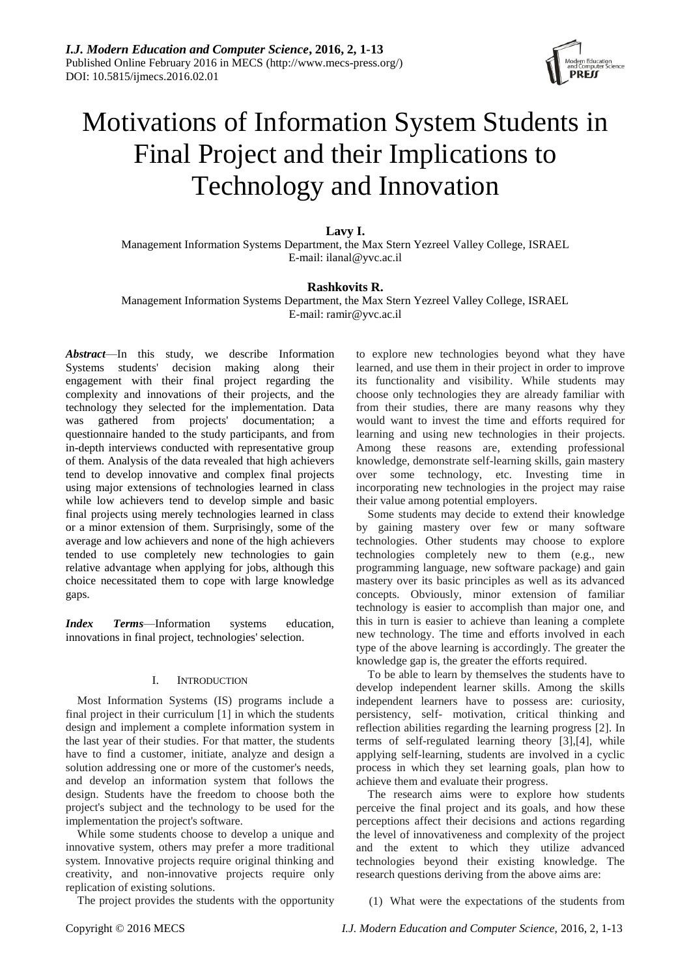

# Motivations of Information System Students in Final Project and their Implications to Technology and Innovation

**Lavy I.**

Management Information Systems Department, the Max Stern Yezreel Valley College, ISRAEL E-mail: ilanal@yvc.ac.il

# **Rashkovits R.**

Management Information Systems Department, the Max Stern Yezreel Valley College, ISRAEL E-mail: ramir@yvc.ac.il

*Abstract*—In this study, we describe Information Systems students' decision making along their engagement with their final project regarding the complexity and innovations of their projects, and the technology they selected for the implementation. Data was gathered from projects' documentation; a questionnaire handed to the study participants, and from in-depth interviews conducted with representative group of them. Analysis of the data revealed that high achievers tend to develop innovative and complex final projects using major extensions of technologies learned in class while low achievers tend to develop simple and basic final projects using merely technologies learned in class or a minor extension of them. Surprisingly, some of the average and low achievers and none of the high achievers tended to use completely new technologies to gain relative advantage when applying for jobs, although this choice necessitated them to cope with large knowledge gaps.

*Index Terms*—Information systems education, innovations in final project, technologies' selection.

#### I. INTRODUCTION

Most Information Systems (IS) programs include a final project in their curriculum [1] in which the students design and implement a complete information system in the last year of their studies. For that matter, the students have to find a customer, initiate, analyze and design a solution addressing one or more of the customer's needs, and develop an information system that follows the design. Students have the freedom to choose both the project's subject and the technology to be used for the implementation the project's software.

While some students choose to develop a unique and innovative system, others may prefer a more traditional system. Innovative projects require original thinking and creativity, and non-innovative projects require only replication of existing solutions.

The project provides the students with the opportunity

to explore new technologies beyond what they have learned, and use them in their project in order to improve its functionality and visibility. While students may choose only technologies they are already familiar with from their studies, there are many reasons why they would want to invest the time and efforts required for learning and using new technologies in their projects. Among these reasons are, extending professional knowledge, demonstrate self-learning skills, gain mastery over some technology, etc. Investing time in incorporating new technologies in the project may raise their value among potential employers.

Some students may decide to extend their knowledge by gaining mastery over few or many software technologies. Other students may choose to explore technologies completely new to them (e.g., new programming language, new software package) and gain mastery over its basic principles as well as its advanced concepts. Obviously, minor extension of familiar technology is easier to accomplish than major one, and this in turn is easier to achieve than leaning a complete new technology. The time and efforts involved in each type of the above learning is accordingly. The greater the knowledge gap is, the greater the efforts required.

To be able to learn by themselves the students have to develop independent learner skills. Among the skills independent learners have to possess are: curiosity, persistency, self- motivation, critical thinking and reflection abilities regarding the learning progress [2]. In terms of self-regulated learning theory [3],[4], while applying self-learning, students are involved in a cyclic process in which they set learning goals, plan how to achieve them and evaluate their progress.

The research aims were to explore how students perceive the final project and its goals, and how these perceptions affect their decisions and actions regarding the level of innovativeness and complexity of the project and the extent to which they utilize advanced technologies beyond their existing knowledge. The research questions deriving from the above aims are:

(1) What were the expectations of the students from

Copyright © 2016 MECS *I.J. Modern Education and Computer Science,* 2016, 2, 1-13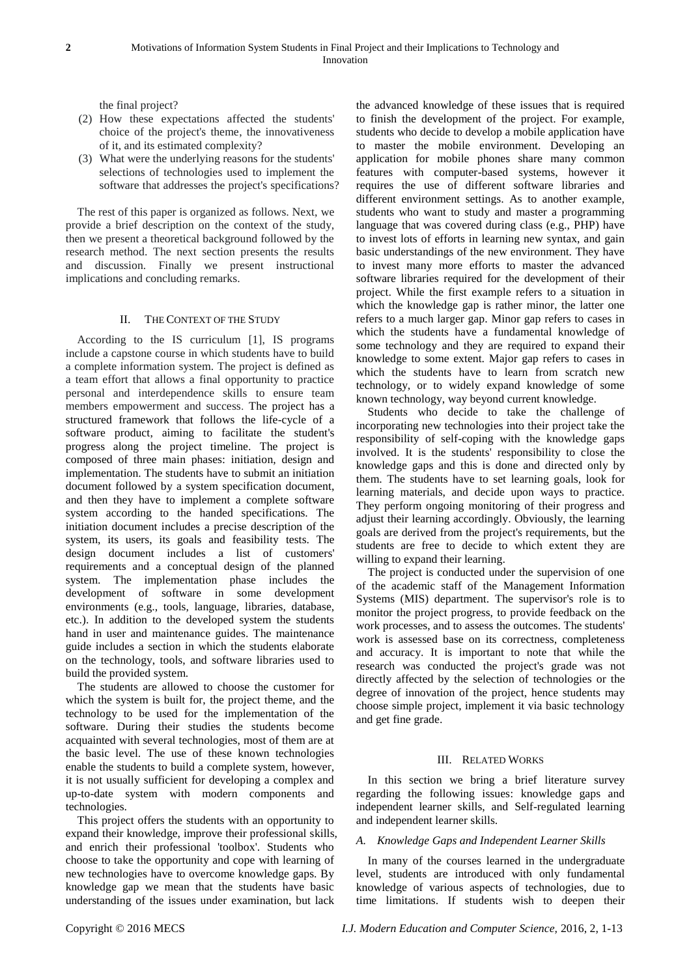the final project?

- (2) How these expectations affected the students' choice of the project's theme, the innovativeness of it, and its estimated complexity?
- (3) What were the underlying reasons for the students' selections of technologies used to implement the software that addresses the project's specifications?

The rest of this paper is organized as follows. Next, we provide a brief description on the context of the study, then we present a theoretical background followed by the research method. The next section presents the results and discussion. Finally we present instructional implications and concluding remarks.

# II. THE CONTEXT OF THE STUDY

According to the IS curriculum [1], IS programs include a capstone course in which students have to build a complete information system. The project is defined as a team effort that allows a final opportunity to practice personal and interdependence skills to ensure team members empowerment and success. The project has a structured framework that follows the life-cycle of a software product, aiming to facilitate the student's progress along the project timeline. The project is composed of three main phases: initiation, design and implementation. The students have to submit an initiation document followed by a system specification document, and then they have to implement a complete software system according to the handed specifications. The initiation document includes a precise description of the system, its users, its goals and feasibility tests. The design document includes a list of customers' requirements and a conceptual design of the planned system. The implementation phase includes the development of software in some development environments (e.g., tools, language, libraries, database, etc.). In addition to the developed system the students hand in user and maintenance guides. The maintenance guide includes a section in which the students elaborate on the technology, tools, and software libraries used to build the provided system.

The students are allowed to choose the customer for which the system is built for, the project theme, and the technology to be used for the implementation of the software. During their studies the students become acquainted with several technologies, most of them are at the basic level. The use of these known technologies enable the students to build a complete system, however, it is not usually sufficient for developing a complex and up-to-date system with modern components and technologies.

This project offers the students with an opportunity to expand their knowledge, improve their professional skills, and enrich their professional 'toolbox'. Students who choose to take the opportunity and cope with learning of new technologies have to overcome knowledge gaps. By knowledge gap we mean that the students have basic understanding of the issues under examination, but lack

the advanced knowledge of these issues that is required to finish the development of the project. For example, students who decide to develop a mobile application have to master the mobile environment. Developing an application for mobile phones share many common features with computer-based systems, however it requires the use of different software libraries and different environment settings. As to another example, students who want to study and master a programming language that was covered during class (e.g., PHP) have to invest lots of efforts in learning new syntax, and gain basic understandings of the new environment. They have to invest many more efforts to master the advanced software libraries required for the development of their project. While the first example refers to a situation in which the knowledge gap is rather minor, the latter one refers to a much larger gap. Minor gap refers to cases in which the students have a fundamental knowledge of some technology and they are required to expand their knowledge to some extent. Major gap refers to cases in which the students have to learn from scratch new technology, or to widely expand knowledge of some known technology, way beyond current knowledge.

Students who decide to take the challenge of incorporating new technologies into their project take the responsibility of self-coping with the knowledge gaps involved. It is the students' responsibility to close the knowledge gaps and this is done and directed only by them. The students have to set learning goals, look for learning materials, and decide upon ways to practice. They perform ongoing monitoring of their progress and adjust their learning accordingly. Obviously, the learning goals are derived from the project's requirements, but the students are free to decide to which extent they are willing to expand their learning.

The project is conducted under the supervision of one of the academic staff of the Management Information Systems (MIS) department. The supervisor's role is to monitor the project progress, to provide feedback on the work processes, and to assess the outcomes. The students' work is assessed base on its correctness, completeness and accuracy. It is important to note that while the research was conducted the project's grade was not directly affected by the selection of technologies or the degree of innovation of the project, hence students may choose simple project, implement it via basic technology and get fine grade.

#### III. RELATED WORKS

In this section we bring a brief literature survey regarding the following issues: knowledge gaps and independent learner skills, and Self-regulated learning and independent learner skills.

#### *A. Knowledge Gaps and Independent Learner Skills*

In many of the courses learned in the undergraduate level, students are introduced with only fundamental knowledge of various aspects of technologies, due to time limitations. If students wish to deepen their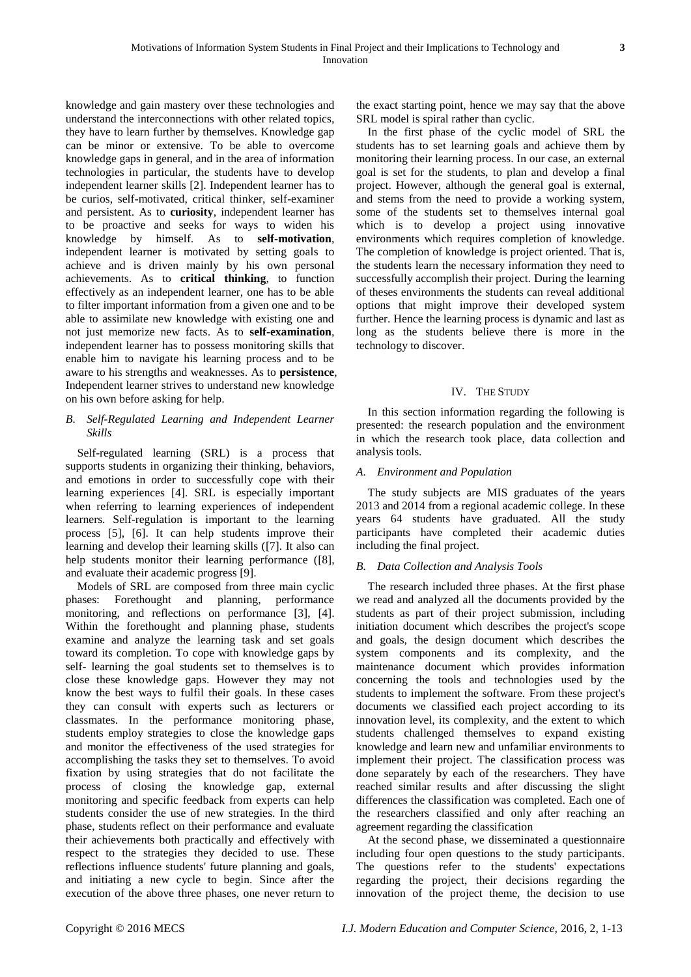knowledge and gain mastery over these technologies and understand the interconnections with other related topics, they have to learn further by themselves. Knowledge gap can be minor or extensive. To be able to overcome knowledge gaps in general, and in the area of information technologies in particular, the students have to develop independent learner skills [2]. Independent learner has to be curios, self-motivated, critical thinker, self-examiner and persistent. As to **curiosity**, independent learner has to be proactive and seeks for ways to widen his knowledge by himself. As to **self-motivation**, independent learner is motivated by setting goals to achieve and is driven mainly by his own personal achievements. As to **critical thinking**, to function effectively as an independent learner, one has to be able to filter important information from a given one and to be able to assimilate new knowledge with existing one and not just memorize new facts. As to **self-examination**, independent learner has to possess monitoring skills that enable him to navigate his learning process and to be aware to his strengths and weaknesses. As to **persistence**, Independent learner strives to understand new knowledge on his own before asking for help.

# *B. Self-Regulated Learning and Independent Learner Skills*

Self-regulated learning (SRL) is a process that supports students in organizing their thinking, behaviors, and emotions in order to successfully cope with their learning experiences [4]. SRL is especially important when referring to learning experiences of independent learners. Self-regulation is important to the learning process [5], [6]. It can help students improve their learning and develop their learning skills ([7]. It also can help students monitor their learning performance ([8], and evaluate their academic progress [9].

Models of SRL are composed from three main cyclic phases: Forethought and planning, performance monitoring, and reflections on performance [3], [4]. Within the forethought and planning phase, students examine and analyze the learning task and set goals toward its completion. To cope with knowledge gaps by self- learning the goal students set to themselves is to close these knowledge gaps. However they may not know the best ways to fulfil their goals. In these cases they can consult with experts such as lecturers or classmates. In the performance monitoring phase, students employ strategies to close the knowledge gaps and monitor the effectiveness of the used strategies for accomplishing the tasks they set to themselves. To avoid fixation by using strategies that do not facilitate the process of closing the knowledge gap, external monitoring and specific feedback from experts can help students consider the use of new strategies. In the third phase, students reflect on their performance and evaluate their achievements both practically and effectively with respect to the strategies they decided to use. These reflections influence students' future planning and goals, and initiating a new cycle to begin. Since after the execution of the above three phases, one never return to

the exact starting point, hence we may say that the above SRL model is spiral rather than cyclic.

In the first phase of the cyclic model of SRL the students has to set learning goals and achieve them by monitoring their learning process. In our case, an external goal is set for the students, to plan and develop a final project. However, although the general goal is external, and stems from the need to provide a working system, some of the students set to themselves internal goal which is to develop a project using innovative environments which requires completion of knowledge. The completion of knowledge is project oriented. That is, the students learn the necessary information they need to successfully accomplish their project. During the learning of theses environments the students can reveal additional options that might improve their developed system further. Hence the learning process is dynamic and last as long as the students believe there is more in the technology to discover.

# IV. THE STUDY

In this section information regarding the following is presented: the research population and the environment in which the research took place, data collection and analysis tools.

# *A. Environment and Population*

The study subjects are MIS graduates of the years 2013 and 2014 from a regional academic college. In these years 64 students have graduated. All the study participants have completed their academic duties including the final project.

# *B. Data Collection and Analysis Tools*

The research included three phases. At the first phase we read and analyzed all the documents provided by the students as part of their project submission, including initiation document which describes the project's scope and goals, the design document which describes the system components and its complexity, and the maintenance document which provides information concerning the tools and technologies used by the students to implement the software. From these project's documents we classified each project according to its innovation level, its complexity, and the extent to which students challenged themselves to expand existing knowledge and learn new and unfamiliar environments to implement their project. The classification process was done separately by each of the researchers. They have reached similar results and after discussing the slight differences the classification was completed. Each one of the researchers classified and only after reaching an agreement regarding the classification

At the second phase, we disseminated a questionnaire including four open questions to the study participants. The questions refer to the students' expectations regarding the project, their decisions regarding the innovation of the project theme, the decision to use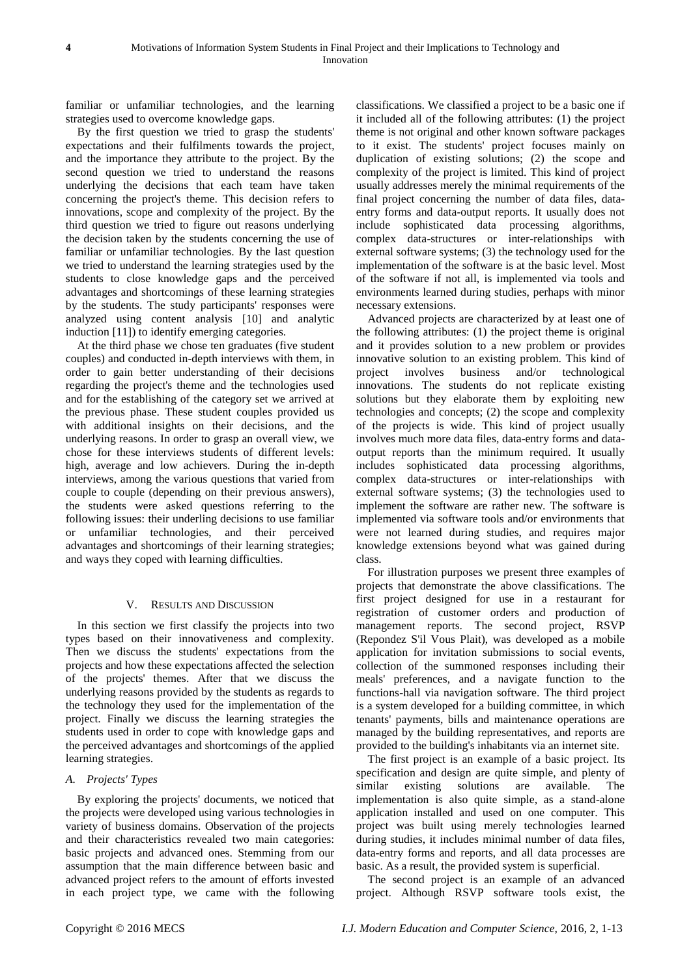familiar or unfamiliar technologies, and the learning strategies used to overcome knowledge gaps.

By the first question we tried to grasp the students' expectations and their fulfilments towards the project, and the importance they attribute to the project. By the second question we tried to understand the reasons underlying the decisions that each team have taken concerning the project's theme. This decision refers to innovations, scope and complexity of the project. By the third question we tried to figure out reasons underlying the decision taken by the students concerning the use of familiar or unfamiliar technologies. By the last question we tried to understand the learning strategies used by the students to close knowledge gaps and the perceived advantages and shortcomings of these learning strategies by the students. The study participants' responses were analyzed using content analysis [10] and analytic induction [11]) to identify emerging categories.

At the third phase we chose ten graduates (five student couples) and conducted in-depth interviews with them, in order to gain better understanding of their decisions regarding the project's theme and the technologies used and for the establishing of the category set we arrived at the previous phase. These student couples provided us with additional insights on their decisions, and the underlying reasons. In order to grasp an overall view, we chose for these interviews students of different levels: high, average and low achievers. During the in-depth interviews, among the various questions that varied from couple to couple (depending on their previous answers), the students were asked questions referring to the following issues: their underling decisions to use familiar or unfamiliar technologies, and their perceived advantages and shortcomings of their learning strategies; and ways they coped with learning difficulties.

#### V. RESULTS AND DISCUSSION

In this section we first classify the projects into two types based on their innovativeness and complexity. Then we discuss the students' expectations from the projects and how these expectations affected the selection of the projects' themes. After that we discuss the underlying reasons provided by the students as regards to the technology they used for the implementation of the project. Finally we discuss the learning strategies the students used in order to cope with knowledge gaps and the perceived advantages and shortcomings of the applied learning strategies.

#### *A. Projects' Types*

By exploring the projects' documents, we noticed that the projects were developed using various technologies in variety of business domains. Observation of the projects and their characteristics revealed two main categories: basic projects and advanced ones. Stemming from our assumption that the main difference between basic and advanced project refers to the amount of efforts invested in each project type, we came with the following

classifications. We classified a project to be a basic one if it included all of the following attributes: (1) the project theme is not original and other known software packages to it exist. The students' project focuses mainly on duplication of existing solutions; (2) the scope and complexity of the project is limited. This kind of project usually addresses merely the minimal requirements of the final project concerning the number of data files, dataentry forms and data-output reports. It usually does not include sophisticated data processing algorithms, complex data-structures or inter-relationships with external software systems; (3) the technology used for the implementation of the software is at the basic level. Most of the software if not all, is implemented via tools and environments learned during studies, perhaps with minor necessary extensions.

Advanced projects are characterized by at least one of the following attributes: (1) the project theme is original and it provides solution to a new problem or provides innovative solution to an existing problem. This kind of project involves business and/or technological innovations. The students do not replicate existing solutions but they elaborate them by exploiting new technologies and concepts; (2) the scope and complexity of the projects is wide. This kind of project usually involves much more data files, data-entry forms and dataoutput reports than the minimum required. It usually includes sophisticated data processing algorithms, complex data-structures or inter-relationships with external software systems; (3) the technologies used to implement the software are rather new. The software is implemented via software tools and/or environments that were not learned during studies, and requires major knowledge extensions beyond what was gained during class.

For illustration purposes we present three examples of projects that demonstrate the above classifications. The first project designed for use in a restaurant for registration of customer orders and production of management reports. The second project, RSVP (Repondez S'il Vous Plait), was developed as a mobile application for invitation submissions to social events, collection of the summoned responses including their meals' preferences, and a navigate function to the functions-hall via navigation software. The third project is a system developed for a building committee, in which tenants' payments, bills and maintenance operations are managed by the building representatives, and reports are provided to the building's inhabitants via an internet site.

The first project is an example of a basic project. Its specification and design are quite simple, and plenty of similar existing solutions are available. The implementation is also quite simple, as a stand-alone application installed and used on one computer. This project was built using merely technologies learned during studies, it includes minimal number of data files, data-entry forms and reports, and all data processes are basic. As a result, the provided system is superficial.

The second project is an example of an advanced project. Although RSVP software tools exist, the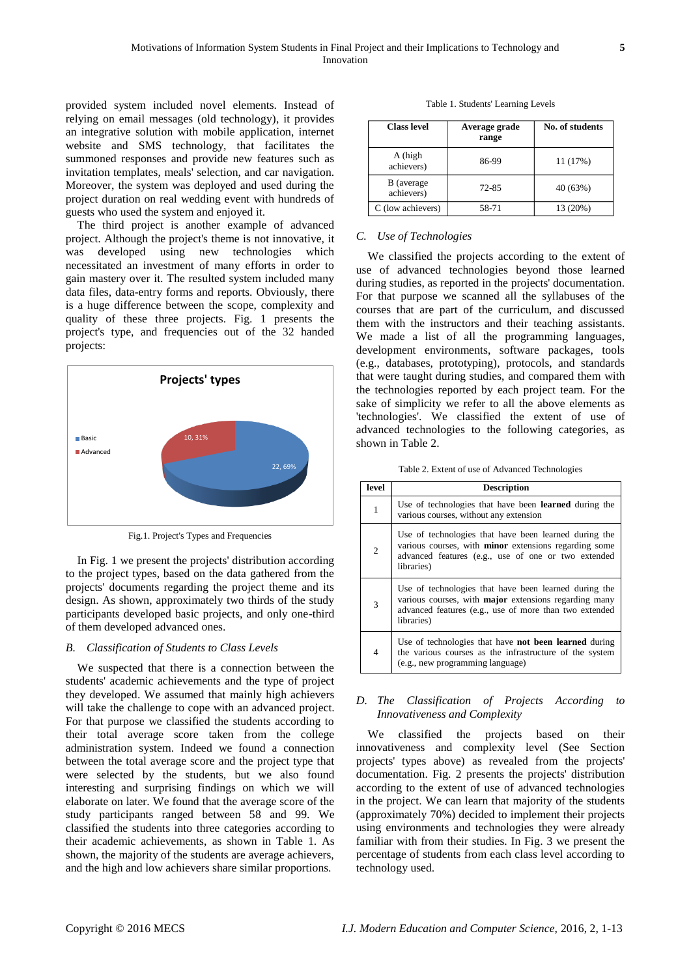provided system included novel elements. Instead of relying on email messages (old technology), it provides an integrative solution with mobile application, internet website and SMS technology, that facilitates the summoned responses and provide new features such as invitation templates, meals' selection, and car navigation. Moreover, the system was deployed and used during the project duration on real wedding event with hundreds of guests who used the system and enjoyed it.

The third project is another example of advanced project. Although the project's theme is not innovative, it was developed using new technologies which necessitated an investment of many efforts in order to gain mastery over it. The resulted system included many data files, data-entry forms and reports. Obviously, there is a huge difference between the scope, complexity and quality of these three projects. Fig. 1 presents the project's type, and frequencies out of the 32 handed projects:



Fig.1. Project's Types and Frequencies

In Fig. 1 we present the projects' distribution according to the project types, based on the data gathered from the projects' documents regarding the project theme and its design. As shown, approximately two thirds of the study participants developed basic projects, and only one-third of them developed advanced ones.

#### *B. Classification of Students to Class Levels*

We suspected that there is a connection between the students' academic achievements and the type of project they developed. We assumed that mainly high achievers will take the challenge to cope with an advanced project. For that purpose we classified the students according to their total average score taken from the college administration system. Indeed we found a connection between the total average score and the project type that were selected by the students, but we also found interesting and surprising findings on which we will elaborate on later. We found that the average score of the study participants ranged between 58 and 99. We classified the students into three categories according to their academic achievements, as shown in Table 1. As shown, the majority of the students are average achievers, and the high and low achievers share similar proportions.

| <b>Class level</b>       | Average grade<br>range | No. of students |
|--------------------------|------------------------|-----------------|
| A (high<br>achievers)    | 86-99                  | 11 (17%)        |
| B (average<br>achievers) | 72-85                  | 40 (63%)        |
| C (low achievers)        | 58-71                  | 13 (20%)        |

# *C. Use of Technologies*

We classified the projects according to the extent of use of advanced technologies beyond those learned during studies, as reported in the projects' documentation. For that purpose we scanned all the syllabuses of the courses that are part of the curriculum, and discussed them with the instructors and their teaching assistants. We made a list of all the programming languages, development environments, software packages, tools (e.g., databases, prototyping), protocols, and standards that were taught during studies, and compared them with the technologies reported by each project team. For the sake of simplicity we refer to all the above elements as 'technologies'. We classified the extent of use of advanced technologies to the following categories, as shown in Table 2.

Table 2. Extent of use of Advanced Technologies

| level          | <b>Description</b>                                                                                                                                                                         |
|----------------|--------------------------------------------------------------------------------------------------------------------------------------------------------------------------------------------|
| 1              | Use of technologies that have been <b>learned</b> during the<br>various courses, without any extension                                                                                     |
| $\overline{2}$ | Use of technologies that have been learned during the<br>various courses, with <b>minor</b> extensions regarding some<br>advanced features (e.g., use of one or two extended<br>libraries) |
| 3              | Use of technologies that have been learned during the<br>various courses, with major extensions regarding many<br>advanced features (e.g., use of more than two extended<br>libraries)     |
| $\overline{4}$ | Use of technologies that have <b>not been learned</b> during<br>the various courses as the infrastructure of the system<br>(e.g., new programming language)                                |

## *D. The Classification of Projects According to Innovativeness and Complexity*

We classified the projects based on their innovativeness and complexity level (See Section projects' types above) as revealed from the projects' documentation. Fig. 2 presents the projects' distribution according to the extent of use of advanced technologies in the project. We can learn that majority of the students (approximately 70%) decided to implement their projects using environments and technologies they were already familiar with from their studies. In Fig. 3 we present the percentage of students from each class level according to technology used.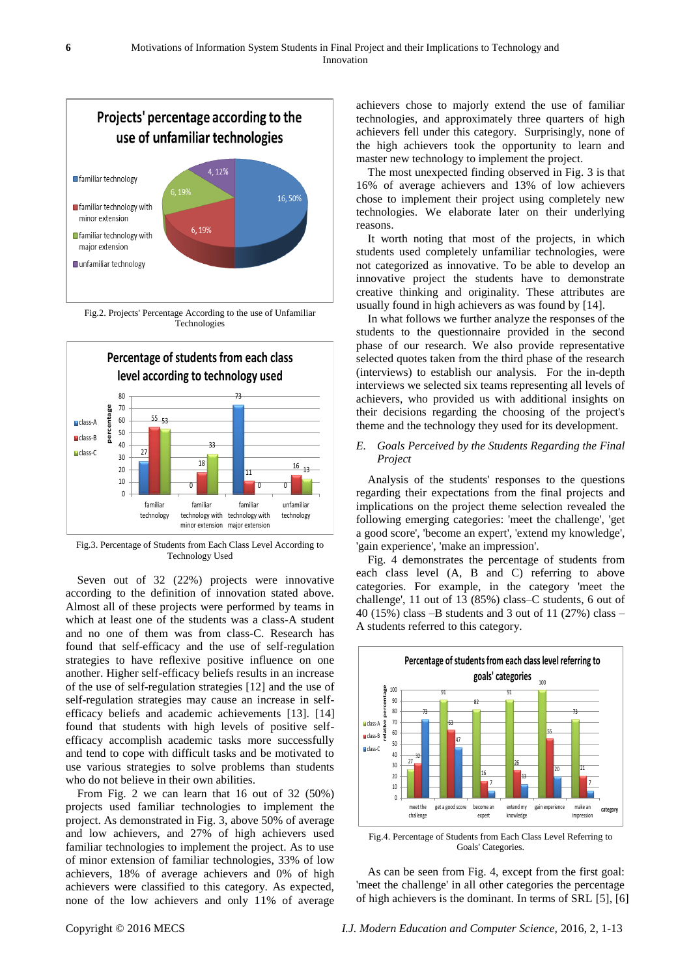

Fig.2. Projects' Percentage According to the use of Unfamiliar Technologies



Fig.3. Percentage of Students from Each Class Level According to Technology Used

Seven out of 32 (22%) projects were innovative according to the definition of innovation stated above. Almost all of these projects were performed by teams in which at least one of the students was a class-A student and no one of them was from class-C. Research has found that self-efficacy and the use of self-regulation strategies to have reflexive positive influence on one another. Higher self-efficacy beliefs results in an increase of the use of self-regulation strategies [12] and the use of self-regulation strategies may cause an increase in selfefficacy beliefs and academic achievements [13]. [14] found that students with high levels of positive selfefficacy accomplish academic tasks more successfully and tend to cope with difficult tasks and be motivated to use various strategies to solve problems than students who do not believe in their own abilities.

From Fig. 2 we can learn that 16 out of 32 (50%) projects used familiar technologies to implement the project. As demonstrated in Fig. 3, above 50% of average and low achievers, and 27% of high achievers used familiar technologies to implement the project. As to use of minor extension of familiar technologies, 33% of low achievers, 18% of average achievers and 0% of high achievers were classified to this category. As expected, none of the low achievers and only 11% of average

achievers chose to majorly extend the use of familiar technologies, and approximately three quarters of high achievers fell under this category. Surprisingly, none of the high achievers took the opportunity to learn and master new technology to implement the project.

The most unexpected finding observed in Fig. 3 is that 16% of average achievers and 13% of low achievers chose to implement their project using completely new technologies. We elaborate later on their underlying reasons.

It worth noting that most of the projects, in which students used completely unfamiliar technologies, were not categorized as innovative. To be able to develop an innovative project the students have to demonstrate creative thinking and originality. These attributes are usually found in high achievers as was found by [14].

In what follows we further analyze the responses of the students to the questionnaire provided in the second phase of our research. We also provide representative selected quotes taken from the third phase of the research (interviews) to establish our analysis. For the in-depth interviews we selected six teams representing all levels of achievers, who provided us with additional insights on their decisions regarding the choosing of the project's theme and the technology they used for its development.

## *E. Goals Perceived by the Students Regarding the Final Project*

Analysis of the students' responses to the questions regarding their expectations from the final projects and implications on the project theme selection revealed the following emerging categories: 'meet the challenge', 'get a good score', 'become an expert', 'extend my knowledge', 'gain experience', 'make an impression'.

Fig. 4 demonstrates the percentage of students from each class level (A, B and C) referring to above categories. For example, in the category 'meet the challenge', 11 out of 13 (85%) class–C students, 6 out of 40 (15%) class –B students and 3 out of 11 (27%) class – A students referred to this category.



Fig.4. Percentage of Students from Each Class Level Referring to Goals' Categories.

As can be seen from Fig. 4, except from the first goal: 'meet the challenge' in all other categories the percentage of high achievers is the dominant. In terms of SRL [5], [6]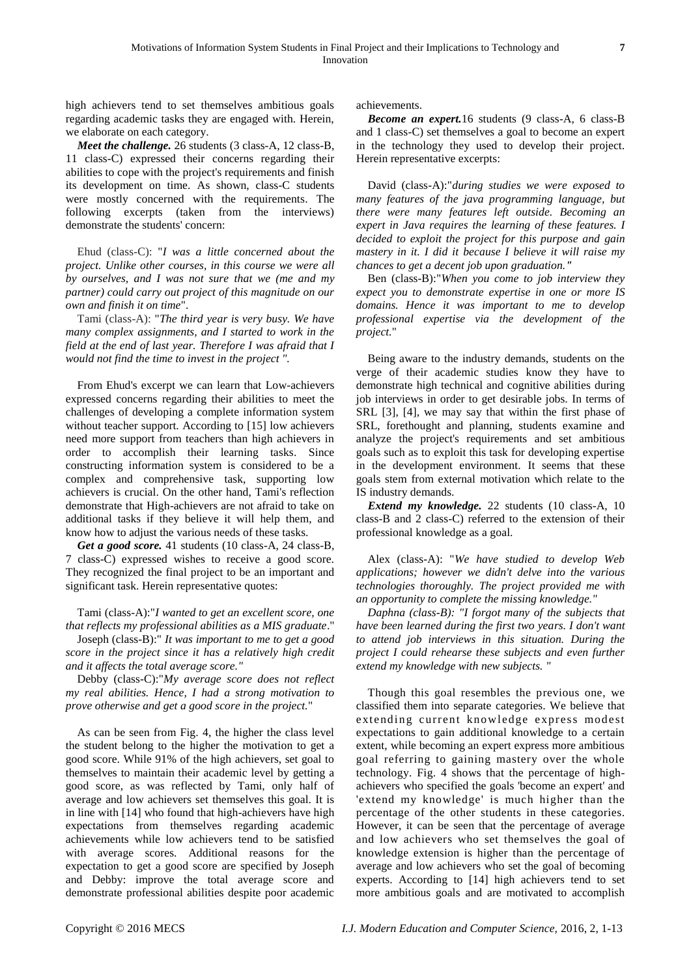high achievers tend to set themselves ambitious goals regarding academic tasks they are engaged with. Herein, we elaborate on each category.

*Meet the challenge.* 26 students (3 class-A, 12 class-B, 11 class-C) expressed their concerns regarding their abilities to cope with the project's requirements and finish its development on time. As shown, class-C students were mostly concerned with the requirements. The following excerpts (taken from the interviews) demonstrate the students' concern:

Ehud (class-C): "*I was a little concerned about the project. Unlike other courses, in this course we were all by ourselves, and I was not sure that we (me and my partner) could carry out project of this magnitude on our own and finish it on time*".

Tami (class-A): "*The third year is very busy. We have many complex assignments, and I started to work in the field at the end of last year. Therefore I was afraid that I would not find the time to invest in the project ".*

From Ehud's excerpt we can learn that Low-achievers expressed concerns regarding their abilities to meet the challenges of developing a complete information system without teacher support. According to [15] low achievers need more support from teachers than high achievers in order to accomplish their learning tasks. Since constructing information system is considered to be a complex and comprehensive task, supporting low achievers is crucial. On the other hand, Tami's reflection demonstrate that High-achievers are not afraid to take on additional tasks if they believe it will help them, and know how to adjust the various needs of these tasks.

*Get a good score.* 41 students (10 class-A, 24 class-B, 7 class-C) expressed wishes to receive a good score. They recognized the final project to be an important and significant task. Herein representative quotes:

Tami (class-A):"*I wanted to get an excellent score, one that reflects my professional abilities as a MIS graduate*."

Joseph (class-B):" *It was important to me to get a good score in the project since it has a relatively high credit and it affects the total average score."*

Debby (class-C):"*My average score does not reflect my real abilities. Hence, I had a strong motivation to prove otherwise and get a good score in the project.*"

As can be seen from Fig. 4, the higher the class level the student belong to the higher the motivation to get a good score. While 91% of the high achievers, set goal to themselves to maintain their academic level by getting a good score, as was reflected by Tami, only half of average and low achievers set themselves this goal. It is in line with [14] who found that high-achievers have high expectations from themselves regarding academic achievements while low achievers tend to be satisfied with average scores. Additional reasons for the expectation to get a good score are specified by Joseph and Debby: improve the total average score and demonstrate professional abilities despite poor academic

achievements.

*Become an expert.*16 students (9 class-A, 6 class-B and 1 class-C) set themselves a goal to become an expert in the technology they used to develop their project. Herein representative excerpts:

David (class-A):"*during studies we were exposed to many features of the java programming language, but there were many features left outside. Becoming an expert in Java requires the learning of these features. I decided to exploit the project for this purpose and gain mastery in it. I did it because I believe it will raise my chances to get a decent job upon graduation."*

Ben (class-B):"*When you come to job interview they expect you to demonstrate expertise in one or more IS domains. Hence it was important to me to develop professional expertise via the development of the project.*"

Being aware to the industry demands, students on the verge of their academic studies know they have to demonstrate high technical and cognitive abilities during job interviews in order to get desirable jobs. In terms of SRL [3], [4], we may say that within the first phase of SRL, forethought and planning, students examine and analyze the project's requirements and set ambitious goals such as to exploit this task for developing expertise in the development environment. It seems that these goals stem from external motivation which relate to the IS industry demands.

*Extend my knowledge.* 22 students (10 class-A, 10 class-B and 2 class-C) referred to the extension of their professional knowledge as a goal.

Alex (class-A): "*We have studied to develop Web applications; however we didn't delve into the various technologies thoroughly. The project provided me with an opportunity to complete the missing knowledge."*

*Daphna (class-B): "I forgot many of the subjects that have been learned during the first two years. I don't want to attend job interviews in this situation. During the project I could rehearse these subjects and even further extend my knowledge with new subjects. "* 

Though this goal resembles the previous one, we classified them into separate categories. We believe that extending current knowledge express modest expectations to gain additional knowledge to a certain extent, while becoming an expert express more ambitious goal referring to gaining mastery over the whole technology. Fig. 4 shows that the percentage of highachievers who specified the goals 'become an expert' and 'extend my knowledge' is much higher than the percentage of the other students in these categories. However, it can be seen that the percentage of average and low achievers who set themselves the goal of knowledge extension is higher than the percentage of average and low achievers who set the goal of becoming experts. According to [14] high achievers tend to set more ambitious goals and are motivated to accomplish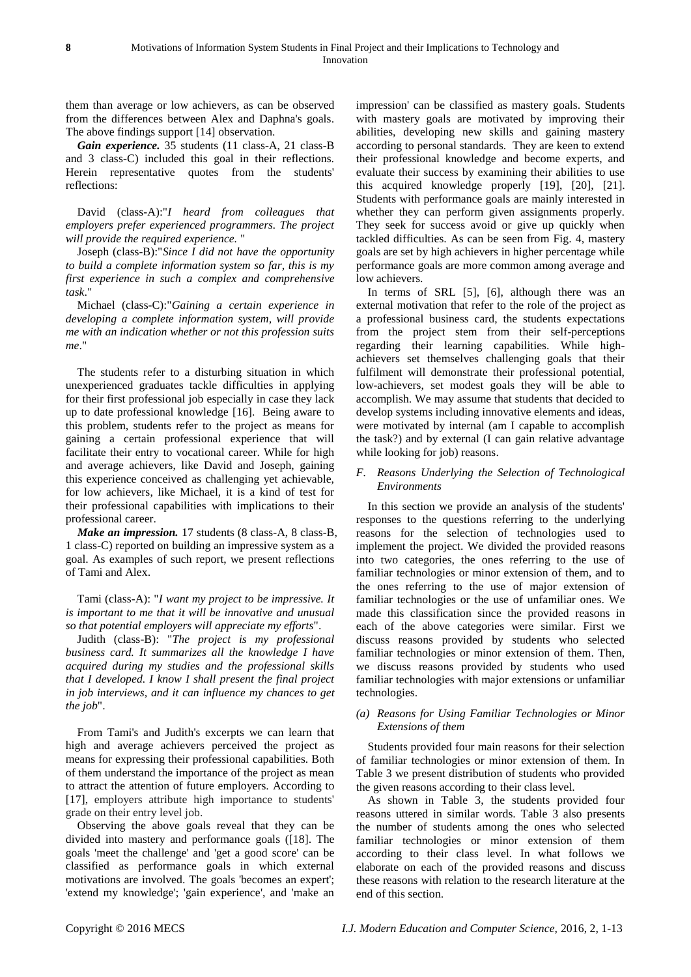them than average or low achievers, as can be observed from the differences between Alex and Daphna's goals. The above findings support [14] observation.

*Gain experience.* 35 students (11 class-A, 21 class-B and 3 class-C) included this goal in their reflections. Herein representative quotes from the students' reflections:

David (class-A):"*I heard from colleagues that employers prefer experienced programmers. The project will provide the required experience.* "

Joseph (class-B):"*Since I did not have the opportunity to build a complete information system so far, this is my first experience in such a complex and comprehensive task*."

Michael (class-C):"*Gaining a certain experience in developing a complete information system, will provide me with an indication whether or not this profession suits me*."

The students refer to a disturbing situation in which unexperienced graduates tackle difficulties in applying for their first professional job especially in case they lack up to date professional knowledge [16]. Being aware to this problem, students refer to the project as means for gaining a certain professional experience that will facilitate their entry to vocational career. While for high and average achievers, like David and Joseph, gaining this experience conceived as challenging yet achievable, for low achievers, like Michael, it is a kind of test for their professional capabilities with implications to their professional career.

*Make an impression.* 17 students (8 class-A, 8 class-B, 1 class-C) reported on building an impressive system as a goal. As examples of such report, we present reflections of Tami and Alex.

Tami (class-A): "*I want my project to be impressive. It is important to me that it will be innovative and unusual so that potential employers will appreciate my efforts*".

Judith (class-B): "*The project is my professional business card. It summarizes all the knowledge I have acquired during my studies and the professional skills that I developed. I know I shall present the final project in job interviews, and it can influence my chances to get the job*".

From Tami's and Judith's excerpts we can learn that high and average achievers perceived the project as means for expressing their professional capabilities. Both of them understand the importance of the project as mean to attract the attention of future employers. According to [17], employers attribute high importance to students' grade on their entry level job.

Observing the above goals reveal that they can be divided into mastery and performance goals ([18]. The goals 'meet the challenge' and 'get a good score' can be classified as performance goals in which external motivations are involved. The goals 'becomes an expert'; 'extend my knowledge'; 'gain experience', and 'make an

impression' can be classified as mastery goals. Students with mastery goals are motivated by improving their abilities, developing new skills and gaining mastery according to personal standards. They are keen to extend their professional knowledge and become experts, and evaluate their success by examining their abilities to use this acquired knowledge properly [19], [20], [21]. Students with performance goals are mainly interested in whether they can perform given assignments properly. They seek for success avoid or give up quickly when tackled difficulties. As can be seen from Fig. 4, mastery goals are set by high achievers in higher percentage while performance goals are more common among average and low achievers.

In terms of SRL [5], [6], although there was an external motivation that refer to the role of the project as a professional business card, the students expectations from the project stem from their self-perceptions regarding their learning capabilities. While highachievers set themselves challenging goals that their fulfilment will demonstrate their professional potential, low-achievers, set modest goals they will be able to accomplish. We may assume that students that decided to develop systems including innovative elements and ideas, were motivated by internal (am I capable to accomplish the task?) and by external (I can gain relative advantage while looking for job) reasons.

## *F. Reasons Underlying the Selection of Technological Environments*

In this section we provide an analysis of the students' responses to the questions referring to the underlying reasons for the selection of technologies used to implement the project. We divided the provided reasons into two categories, the ones referring to the use of familiar technologies or minor extension of them, and to the ones referring to the use of major extension of familiar technologies or the use of unfamiliar ones. We made this classification since the provided reasons in each of the above categories were similar. First we discuss reasons provided by students who selected familiar technologies or minor extension of them. Then, we discuss reasons provided by students who used familiar technologies with major extensions or unfamiliar technologies.

## *(a) Reasons for Using Familiar Technologies or Minor Extensions of them*

Students provided four main reasons for their selection of familiar technologies or minor extension of them. In Table 3 we present distribution of students who provided the given reasons according to their class level.

As shown in Table 3, the students provided four reasons uttered in similar words. Table 3 also presents the number of students among the ones who selected familiar technologies or minor extension of them according to their class level. In what follows we elaborate on each of the provided reasons and discuss these reasons with relation to the research literature at the end of this section.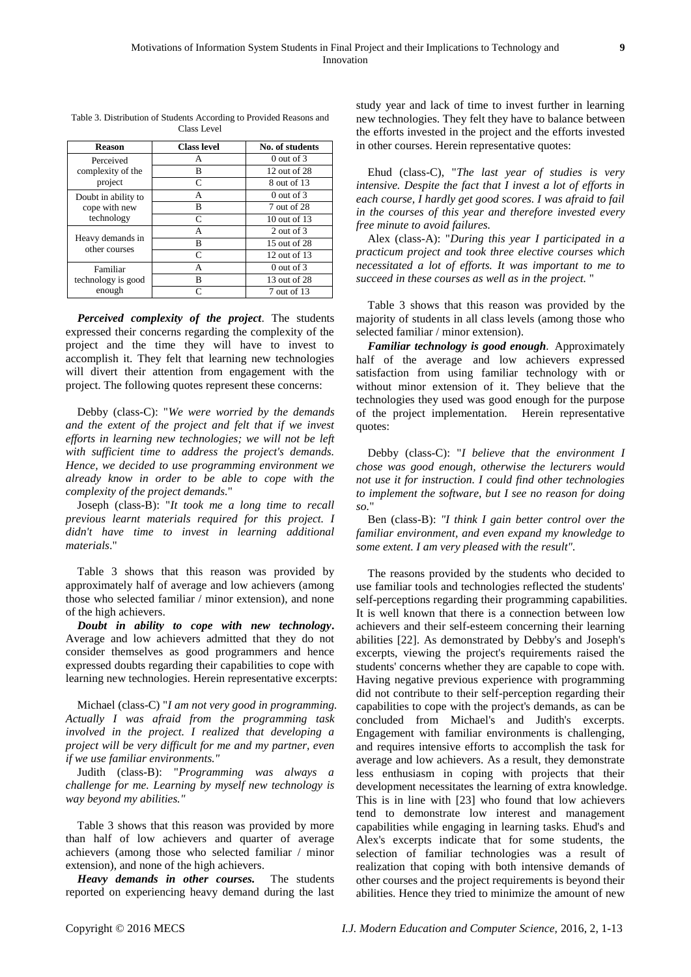| <b>Reason</b>                                      | <b>Class level</b> | No. of students  |
|----------------------------------------------------|--------------------|------------------|
| Perceived<br>complexity of the<br>project          | А                  | $0$ out of $3$   |
|                                                    | В                  | 12 out of 28     |
|                                                    | C                  | 8 out of 13      |
| Doubt in ability to<br>cope with new<br>technology | A                  | $0$ out of $3$   |
|                                                    | B                  | 7 out of 28      |
|                                                    | C                  | 10 out of 13     |
| Heavy demands in<br>other courses                  | A                  | 2 out of 3       |
|                                                    | B                  | 15 out of 28     |
|                                                    | C                  | $12$ out of $13$ |
| Familiar<br>technology is good<br>enough           | A                  | $0$ out of $3$   |
|                                                    | B                  | 13 out of 28     |
|                                                    | $\subset$          | 7 out of 13      |

Table 3. Distribution of Students According to Provided Reasons and Class Level

*Perceived complexity of the project*. The students expressed their concerns regarding the complexity of the project and the time they will have to invest to accomplish it. They felt that learning new technologies will divert their attention from engagement with the project. The following quotes represent these concerns:

Debby (class-C): "*We were worried by the demands and the extent of the project and felt that if we invest efforts in learning new technologies; we will not be left with sufficient time to address the project's demands. Hence, we decided to use programming environment we already know in order to be able to cope with the complexity of the project demands.*"

Joseph (class-B): "*It took me a long time to recall previous learnt materials required for this project. I didn't have time to invest in learning additional materials*."

Table 3 shows that this reason was provided by approximately half of average and low achievers (among those who selected familiar / minor extension), and none of the high achievers.

*Doubt in ability to cope with new technology***.** Average and low achievers admitted that they do not consider themselves as good programmers and hence expressed doubts regarding their capabilities to cope with learning new technologies. Herein representative excerpts:

Michael (class-C) "*I am not very good in programming. Actually I was afraid from the programming task involved in the project. I realized that developing a project will be very difficult for me and my partner, even if we use familiar environments."*

Judith (class-B): "*Programming was always a challenge for me. Learning by myself new technology is way beyond my abilities."* 

Table 3 shows that this reason was provided by more than half of low achievers and quarter of average achievers (among those who selected familiar / minor extension), and none of the high achievers.

*Heavy demands in other courses.* The students reported on experiencing heavy demand during the last study year and lack of time to invest further in learning new technologies. They felt they have to balance between the efforts invested in the project and the efforts invested in other courses. Herein representative quotes:

Ehud (class-C), "*The last year of studies is very intensive. Despite the fact that I invest a lot of efforts in each course, I hardly get good scores. I was afraid to fail in the courses of this year and therefore invested every free minute to avoid failures.*

Alex (class-A): "*During this year I participated in a practicum project and took three elective courses which necessitated a lot of efforts. It was important to me to succeed in these courses as well as in the project.* "

Table 3 shows that this reason was provided by the majority of students in all class levels (among those who selected familiar / minor extension).

*Familiar technology is good enough.* Approximately half of the average and low achievers expressed satisfaction from using familiar technology with or without minor extension of it. They believe that the technologies they used was good enough for the purpose of the project implementation. Herein representative quotes:

Debby (class-C): "*I believe that the environment I chose was good enough, otherwise the lecturers would not use it for instruction. I could find other technologies to implement the software, but I see no reason for doing so.*"

Ben (class-B): *"I think I gain better control over the familiar environment, and even expand my knowledge to some extent. I am very pleased with the result".*

The reasons provided by the students who decided to use familiar tools and technologies reflected the students' self-perceptions regarding their programming capabilities. It is well known that there is a connection between low achievers and their self-esteem concerning their learning abilities [22]. As demonstrated by Debby's and Joseph's excerpts, viewing the project's requirements raised the students' concerns whether they are capable to cope with. Having negative previous experience with programming did not contribute to their self-perception regarding their capabilities to cope with the project's demands, as can be concluded from Michael's and Judith's excerpts. Engagement with familiar environments is challenging, and requires intensive efforts to accomplish the task for average and low achievers. As a result, they demonstrate less enthusiasm in coping with projects that their development necessitates the learning of extra knowledge. This is in line with [23] who found that low achievers tend to demonstrate low interest and management capabilities while engaging in learning tasks. Ehud's and Alex's excerpts indicate that for some students, the selection of familiar technologies was a result of realization that coping with both intensive demands of other courses and the project requirements is beyond their abilities. Hence they tried to minimize the amount of new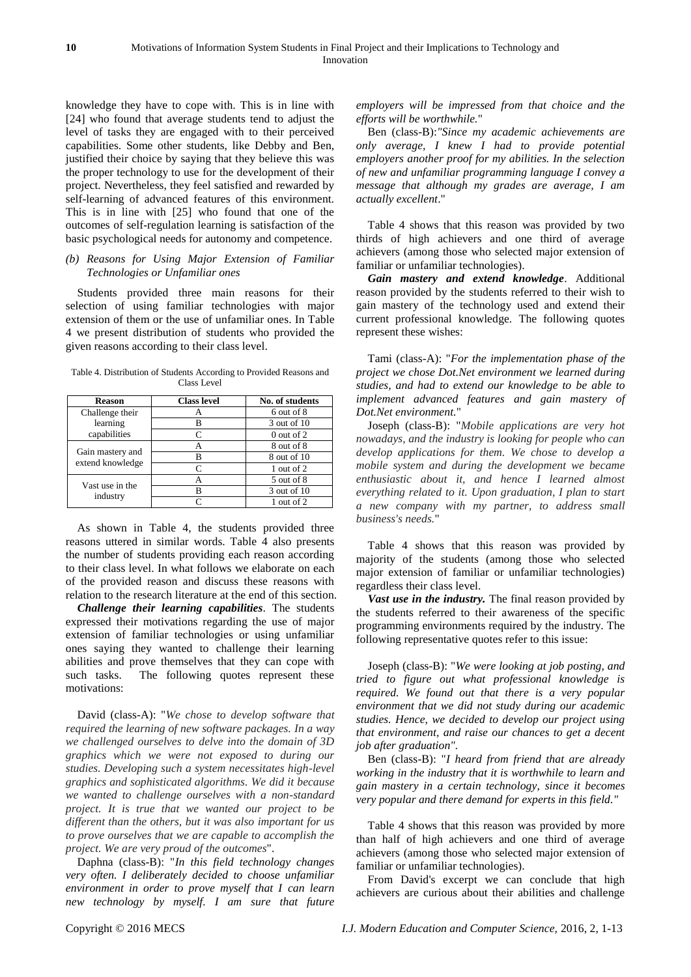knowledge they have to cope with. This is in line with [24] who found that average students tend to adjust the level of tasks they are engaged with to their perceived capabilities. Some other students, like Debby and Ben, justified their choice by saying that they believe this was the proper technology to use for the development of their project. Nevertheless, they feel satisfied and rewarded by self-learning of advanced features of this environment. This is in line with [25] who found that one of the outcomes of self-regulation learning is satisfaction of the basic psychological needs for autonomy and competence.

## *(b) Reasons for Using Major Extension of Familiar Technologies or Unfamiliar ones*

Students provided three main reasons for their selection of using familiar technologies with major extension of them or the use of unfamiliar ones. In Table 4 we present distribution of students who provided the given reasons according to their class level.

Table 4. Distribution of Students According to Provided Reasons and Class Level

| <b>Reason</b>                        | <b>Class level</b> | No. of students |
|--------------------------------------|--------------------|-----------------|
| Challenge their                      |                    | 6 out of 8      |
| learning                             | в                  | 3 out of 10     |
| capabilities                         |                    | $0$ out of $2$  |
| Gain mastery and<br>extend knowledge |                    | 8 out of 8      |
|                                      | R                  | 8 out of 10     |
|                                      |                    | 1 out of 2      |
| Vast use in the<br>industry          |                    | 5 out of 8      |
|                                      | R                  | 3 out of 10     |
|                                      |                    | 1 out of 2      |

As shown in Table 4, the students provided three reasons uttered in similar words. Table 4 also presents the number of students providing each reason according to their class level. In what follows we elaborate on each of the provided reason and discuss these reasons with relation to the research literature at the end of this section.

*Challenge their learning capabilities*. The students expressed their motivations regarding the use of major extension of familiar technologies or using unfamiliar ones saying they wanted to challenge their learning abilities and prove themselves that they can cope with such tasks. The following quotes represent these motivations:

David (class-A): "*We chose to develop software that required the learning of new software packages. In a way we challenged ourselves to delve into the domain of 3D graphics which we were not exposed to during our studies. Developing such a system necessitates high-level graphics and sophisticated algorithms. We did it because we wanted to challenge ourselves with a non-standard project. It is true that we wanted our project to be different than the others, but it was also important for us to prove ourselves that we are capable to accomplish the project. We are very proud of the outcomes*".

Daphna (class-B): "*In this field technology changes very often. I deliberately decided to choose unfamiliar environment in order to prove myself that I can learn new technology by myself. I am sure that future* 

*employers will be impressed from that choice and the efforts will be worthwhile.*"

Ben (class-B):*"Since my academic achievements are only average, I knew I had to provide potential employers another proof for my abilities. In the selection of new and unfamiliar programming language I convey a message that although my grades are average, I am actually excellent*."

Table 4 shows that this reason was provided by two thirds of high achievers and one third of average achievers (among those who selected major extension of familiar or unfamiliar technologies).

*Gain mastery and extend knowledge*. Additional reason provided by the students referred to their wish to gain mastery of the technology used and extend their current professional knowledge. The following quotes represent these wishes:

Tami (class-A): "*For the implementation phase of the project we chose Dot.Net environment we learned during studies, and had to extend our knowledge to be able to implement advanced features and gain mastery of Dot.Net environment.*"

Joseph (class-B): "*Mobile applications are very hot nowadays, and the industry is looking for people who can develop applications for them. We chose to develop a mobile system and during the development we became enthusiastic about it, and hence I learned almost everything related to it. Upon graduation, I plan to start a new company with my partner, to address small business's needs.*"

Table 4 shows that this reason was provided by majority of the students (among those who selected major extension of familiar or unfamiliar technologies) regardless their class level.

*Vast use in the industry.* The final reason provided by the students referred to their awareness of the specific programming environments required by the industry. The following representative quotes refer to this issue:

Joseph (class-B): "*We were looking at job posting, and tried to figure out what professional knowledge is required. We found out that there is a very popular environment that we did not study during our academic studies. Hence, we decided to develop our project using that environment, and raise our chances to get a decent job after graduation".* 

Ben (class-B): "*I heard from friend that are already working in the industry that it is worthwhile to learn and gain mastery in a certain technology, since it becomes very popular and there demand for experts in this field."*

Table 4 shows that this reason was provided by more than half of high achievers and one third of average achievers (among those who selected major extension of familiar or unfamiliar technologies).

From David's excerpt we can conclude that high achievers are curious about their abilities and challenge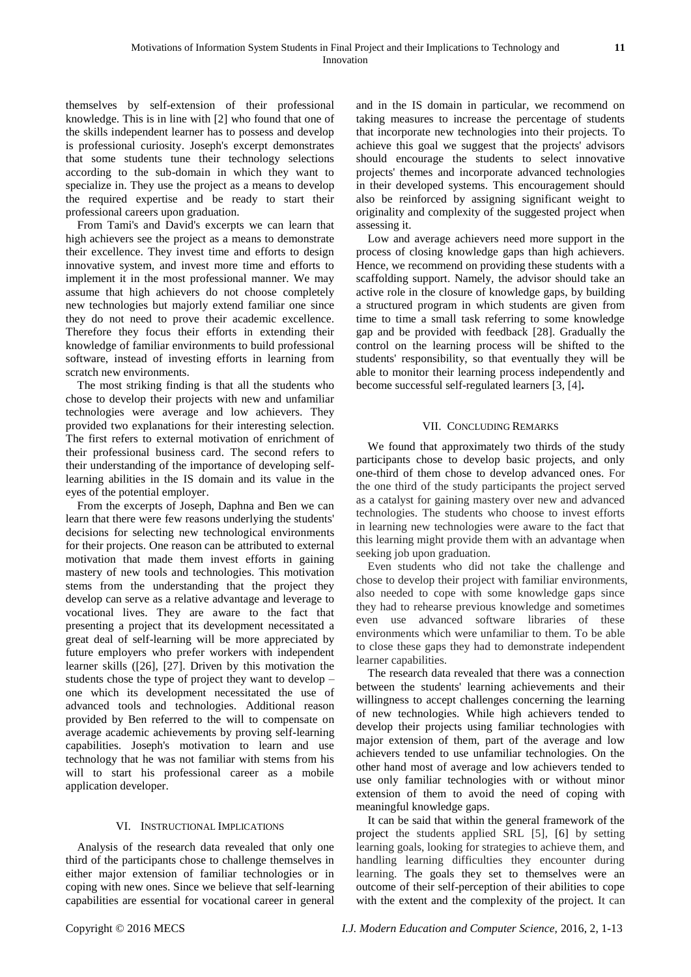themselves by self-extension of their professional knowledge. This is in line with [2] who found that one of the skills independent learner has to possess and develop is professional curiosity. Joseph's excerpt demonstrates that some students tune their technology selections according to the sub-domain in which they want to specialize in. They use the project as a means to develop the required expertise and be ready to start their professional careers upon graduation.

From Tami's and David's excerpts we can learn that high achievers see the project as a means to demonstrate their excellence. They invest time and efforts to design innovative system, and invest more time and efforts to implement it in the most professional manner. We may assume that high achievers do not choose completely new technologies but majorly extend familiar one since they do not need to prove their academic excellence. Therefore they focus their efforts in extending their knowledge of familiar environments to build professional software, instead of investing efforts in learning from scratch new environments.

The most striking finding is that all the students who chose to develop their projects with new and unfamiliar technologies were average and low achievers. They provided two explanations for their interesting selection. The first refers to external motivation of enrichment of their professional business card. The second refers to their understanding of the importance of developing selflearning abilities in the IS domain and its value in the eyes of the potential employer.

From the excerpts of Joseph, Daphna and Ben we can learn that there were few reasons underlying the students' decisions for selecting new technological environments for their projects. One reason can be attributed to external motivation that made them invest efforts in gaining mastery of new tools and technologies. This motivation stems from the understanding that the project they develop can serve as a relative advantage and leverage to vocational lives. They are aware to the fact that presenting a project that its development necessitated a great deal of self-learning will be more appreciated by future employers who prefer workers with independent learner skills ([26], [27]. Driven by this motivation the students chose the type of project they want to develop – one which its development necessitated the use of advanced tools and technologies. Additional reason provided by Ben referred to the will to compensate on average academic achievements by proving self-learning capabilities. Joseph's motivation to learn and use technology that he was not familiar with stems from his will to start his professional career as a mobile application developer.

# VI. INSTRUCTIONAL IMPLICATIONS

Analysis of the research data revealed that only one third of the participants chose to challenge themselves in either major extension of familiar technologies or in coping with new ones. Since we believe that self-learning capabilities are essential for vocational career in general and in the IS domain in particular, we recommend on taking measures to increase the percentage of students that incorporate new technologies into their projects. To achieve this goal we suggest that the projects' advisors should encourage the students to select innovative projects' themes and incorporate advanced technologies in their developed systems. This encouragement should also be reinforced by assigning significant weight to originality and complexity of the suggested project when assessing it.

Low and average achievers need more support in the process of closing knowledge gaps than high achievers. Hence, we recommend on providing these students with a scaffolding support. Namely, the advisor should take an active role in the closure of knowledge gaps, by building a structured program in which students are given from time to time a small task referring to some knowledge gap and be provided with feedback [28]. Gradually the control on the learning process will be shifted to the students' responsibility, so that eventually they will be able to monitor their learning process independently and become successful self-regulated learners [3, [4]**.**

# VII. CONCLUDING REMARKS

We found that approximately two thirds of the study participants chose to develop basic projects, and only one-third of them chose to develop advanced ones. For the one third of the study participants the project served as a catalyst for gaining mastery over new and advanced technologies. The students who choose to invest efforts in learning new technologies were aware to the fact that this learning might provide them with an advantage when seeking job upon graduation.

Even students who did not take the challenge and chose to develop their project with familiar environments, also needed to cope with some knowledge gaps since they had to rehearse previous knowledge and sometimes even use advanced software libraries of these environments which were unfamiliar to them. To be able to close these gaps they had to demonstrate independent learner capabilities.

The research data revealed that there was a connection between the students' learning achievements and their willingness to accept challenges concerning the learning of new technologies. While high achievers tended to develop their projects using familiar technologies with major extension of them, part of the average and low achievers tended to use unfamiliar technologies. On the other hand most of average and low achievers tended to use only familiar technologies with or without minor extension of them to avoid the need of coping with meaningful knowledge gaps.

It can be said that within the general framework of the project the students applied SRL [5], [6] by setting learning goals, looking for strategies to achieve them, and handling learning difficulties they encounter during learning. The goals they set to themselves were an outcome of their self-perception of their abilities to cope with the extent and the complexity of the project. It can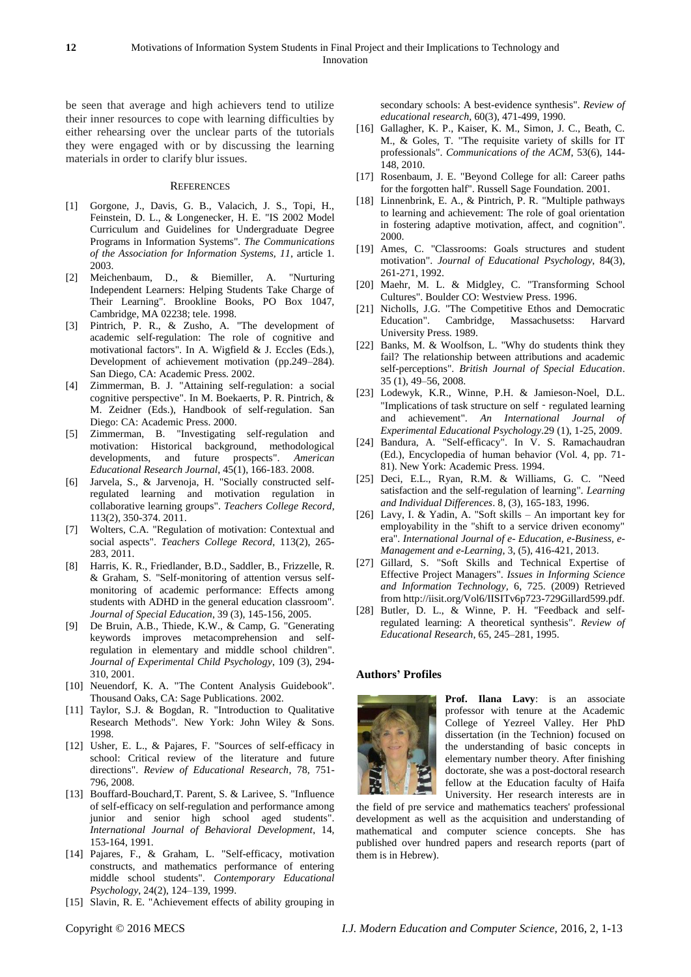be seen that average and high achievers tend to utilize their inner resources to cope with learning difficulties by either rehearsing over the unclear parts of the tutorials they were engaged with or by discussing the learning materials in order to clarify blur issues.

#### **REFERENCES**

- [1] Gorgone, J., Davis, G. B., Valacich, J. S., Topi, H., Feinstein, D. L., & Longenecker, H. E. "IS 2002 Model Curriculum and Guidelines for Undergraduate Degree Programs in Information Systems". *The Communications of the Association for Information Systems, 11*, article 1. 2003.
- [2] Meichenbaum, D., & Biemiller, A. "Nurturing Independent Learners: Helping Students Take Charge of Their Learning". Brookline Books, PO Box 1047, Cambridge, MA 02238; tele. 1998.
- [3] Pintrich, P. R., & Zusho, A. "The development of academic self-regulation: The role of cognitive and motivational factors". In A. Wigfield & J. Eccles (Eds.), Development of achievement motivation (pp.249–284). San Diego, CA: Academic Press. 2002.
- [4] Zimmerman, B. J. "Attaining self-regulation: a social cognitive perspective". In M. Boekaerts, P. R. Pintrich, & M. Zeidner (Eds.), Handbook of self-regulation. San Diego: CA: Academic Press. 2000.
- [5] Zimmerman, B. "Investigating self-regulation and motivation: Historical background, methodological developments, and future prospects". *American Educational Research Journal*, 45(1), 166-183. 2008.
- [6] Jarvela, S., & Jarvenoja, H. "Socially constructed selfregulated learning and motivation regulation in collaborative learning groups". *Teachers College Record*, 113(2), 350-374. 2011.
- [7] Wolters, C.A. "Regulation of motivation: Contextual and social aspects". *Teachers College Record*, 113(2), 265- 283, 2011.
- [8] Harris, K. R., Friedlander, B.D., Saddler, B., Frizzelle, R. & Graham, S. "Self-monitoring of attention versus selfmonitoring of academic performance: Effects among students with ADHD in the general education classroom". *Journal of Special Education*, 39 (3), 145-156, 2005.
- [9] De Bruin, A.B., Thiede, K.W., & Camp, G. "Generating keywords improves metacomprehension and selfregulation in elementary and middle school children". *Journal of Experimental Child Psychology*, 109 (3), 294- 310, 2001.
- [10] [Neuendorf, K. A.](http://en.wikipedia.org/w/index.php?title=Neuendorf,_Kimberly_A.&action=edit&redlink=1) "The Content Analysis Guidebook". Thousand Oaks, CA: Sage Publications. 2002.
- [11] Taylor, S.J. & Bogdan, R. "Introduction to Qualitative Research Methods". New York: John Wiley & Sons. 1998.
- [12] Usher, E. L., & Pajares, F. "Sources of self-efficacy in school: Critical review of the literature and future directions". *Review of Educational Research*, 78, 751- 796, 2008.
- [13] Bouffard-Bouchard, T. Parent, S. & Larivee, S. "Influence" of self-efficacy on self-regulation and performance among junior and senior high school aged students". *International Journal of Behavioral Development*, 14, 153-164, 1991.
- [14] Pajares, F., & Graham, L. "Self-efficacy, motivation constructs, and mathematics performance of entering middle school students". *Contemporary Educational Psychology*, 24(2), 124–139, 1999.
- [15] Slavin, R. E. "Achievement effects of ability grouping in

secondary schools: A best-evidence synthesis". *Review of educational research*, 60(3), 471-499, 1990.

- [16] Gallagher, K. P., Kaiser, K. M., Simon, J. C., Beath, C. M., & Goles, T. "The requisite variety of skills for IT professionals". *Communications of the ACM*, 53(6), 144- 148, 2010.
- [17] Rosenbaum, J. E. "Beyond College for all: Career paths for the forgotten half". Russell Sage Foundation. 2001.
- [18] Linnenbrink, E. A., & Pintrich, P. R. "Multiple pathways" to learning and achievement: The role of goal orientation in fostering adaptive motivation, affect, and cognition". 2000.
- [19] Ames, C. "Classrooms: Goals structures and student motivation". *Journal of Educational Psychology*, 84(3), 261-271, 1992.
- [20] Maehr, M. L. & Midgley, C. "Transforming School Cultures". Boulder CO: Westview Press. 1996.
- [21] Nicholls, J.G. "The Competitive Ethos and Democratic Education". Cambridge, Massachusetss: Harvard University Press. 1989.
- [22] Banks, M. & Woolfson, L. "Why do students think they fail? The relationship between attributions and academic self-perceptions". *British Journal of Special Education*. 35 (1), 49–56, 2008.
- [23] Lodewyk, K.R., Winne, P.H. & Jamieson-Noel, D.L. "Implications of task structure on self - regulated learning and achievement". *An International Journal of Experimental Educational Psychology*.29 (1), 1-25, 2009.
- [24] Bandura, A. "Self-efficacy". In V. S. Ramachaudran (Ed.), Encyclopedia of human behavior (Vol. 4, pp. 71- 81). New York: Academic Press. 1994.
- [25] Deci, E.L., Ryan, R.M. & Williams, G. C. "Need satisfaction and the self-regulation of learning". *Learning and Individual Differences*. 8, (3), 165-183, 1996.
- [26] Lavy, I. & Yadin, A. "Soft skills An important key for employability in the "shift to a service driven economy" era". *International Journal of e- Education, e-Business, e-Management and e-Learning*, 3, (5), 416-421, 2013.
- [27] Gillard, S. "Soft Skills and Technical Expertise of Effective Project Managers". *Issues in Informing Science and Information Technology,* 6, 725. (2009) Retrieved from http://iisit.org/Vol6/IISITv6p723-729Gillard599.pdf.
- [28] Butler, D. L., & Winne, P. H. "Feedback and selfregulated learning: A theoretical synthesis". *Review of Educational Research*, 65, 245–281, 1995.

#### **Authors' Profiles**



**Prof. Ilana Lavy**: is an associate professor with tenure at the Academic College of Yezreel Valley. Her PhD dissertation (in the Technion) focused on the understanding of basic concepts in elementary number theory. After finishing doctorate, she was a post-doctoral research fellow at the Education faculty of Haifa University. Her research interests are in

the field of pre service and mathematics teachers' professional development as well as the acquisition and understanding of mathematical and computer science concepts. She has published over hundred papers and research reports (part of them is in Hebrew).